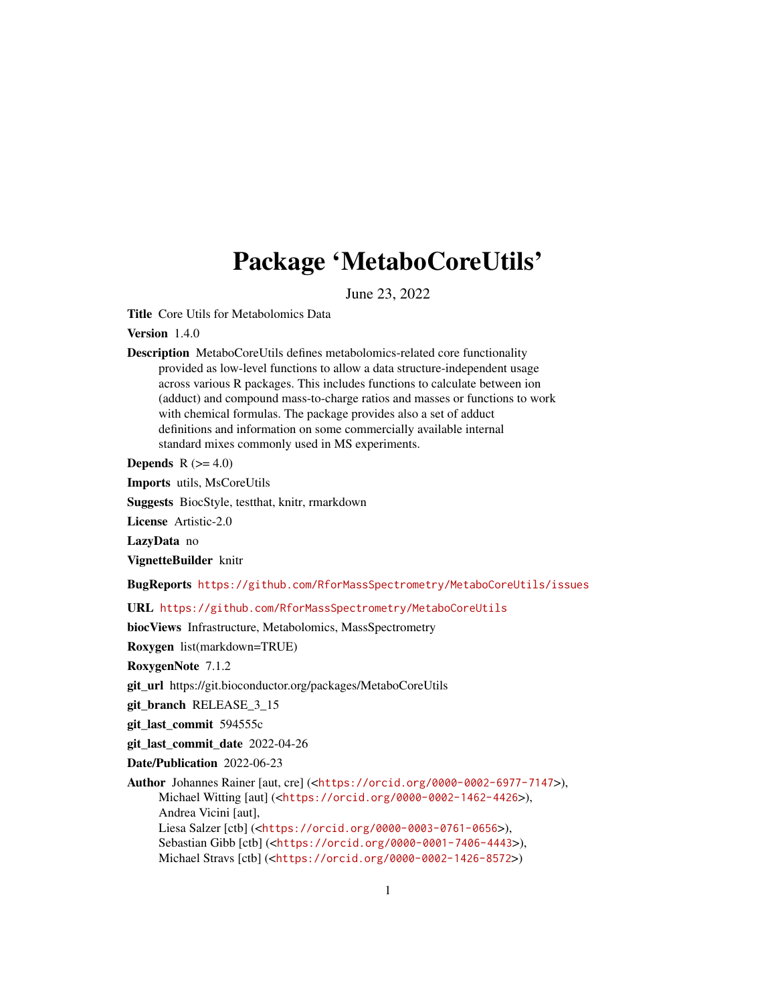# Package 'MetaboCoreUtils'

June 23, 2022

<span id="page-0-0"></span>Title Core Utils for Metabolomics Data

Version 1.4.0

Description MetaboCoreUtils defines metabolomics-related core functionality provided as low-level functions to allow a data structure-independent usage across various R packages. This includes functions to calculate between ion (adduct) and compound mass-to-charge ratios and masses or functions to work with chemical formulas. The package provides also a set of adduct definitions and information on some commercially available internal standard mixes commonly used in MS experiments.

**Depends**  $R$  ( $>= 4.0$ )

Imports utils, MsCoreUtils

Suggests BiocStyle, testthat, knitr, rmarkdown

License Artistic-2.0

LazyData no

VignetteBuilder knitr

BugReports <https://github.com/RforMassSpectrometry/MetaboCoreUtils/issues>

URL <https://github.com/RforMassSpectrometry/MetaboCoreUtils>

biocViews Infrastructure, Metabolomics, MassSpectrometry

Roxygen list(markdown=TRUE)

RoxygenNote 7.1.2

git\_url https://git.bioconductor.org/packages/MetaboCoreUtils

git\_branch RELEASE\_3\_15

git\_last\_commit 594555c

git\_last\_commit\_date 2022-04-26

Date/Publication 2022-06-23

Author Johannes Rainer [aut, cre] (<<https://orcid.org/0000-0002-6977-7147>>), Michael Witting [aut] (<<https://orcid.org/0000-0002-1462-4426>>), Andrea Vicini [aut], Liesa Salzer [ctb] (<<https://orcid.org/0000-0003-0761-0656>>), Sebastian Gibb [ctb] (<<https://orcid.org/0000-0001-7406-4443>>), Michael Stravs [ctb] (<<https://orcid.org/0000-0002-1426-8572>>)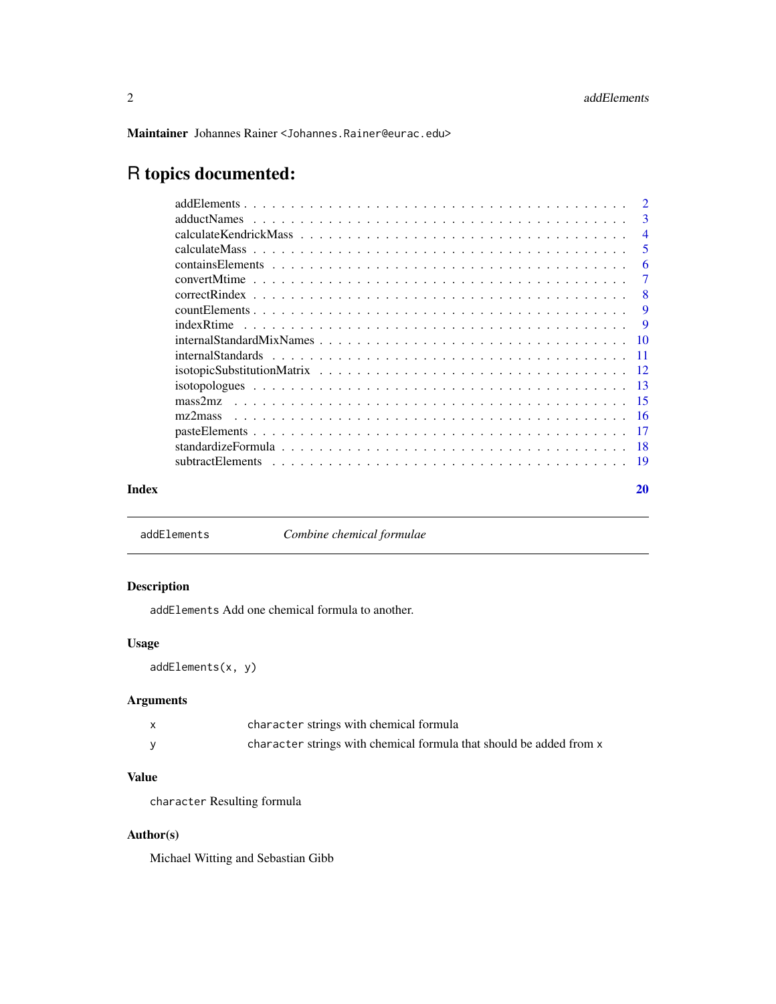<span id="page-1-0"></span>Maintainer Johannes Rainer <Johannes.Rainer@eurac.edu>

# R topics documented:

|       |                                                                                                                                                                                                                                                                                                                                                                   | $\overline{2}$ |
|-------|-------------------------------------------------------------------------------------------------------------------------------------------------------------------------------------------------------------------------------------------------------------------------------------------------------------------------------------------------------------------|----------------|
|       |                                                                                                                                                                                                                                                                                                                                                                   | 3              |
|       | $\alpha$ calculate Kendrick Mass $\alpha$ , $\beta$ , $\beta$ , $\beta$ , $\beta$ , $\beta$ , $\beta$ , $\beta$ , $\beta$ , $\beta$ , $\beta$ , $\beta$ , $\beta$ , $\beta$ , $\beta$ , $\beta$ , $\beta$ , $\beta$ , $\beta$ , $\beta$ , $\beta$ , $\beta$ , $\beta$ , $\beta$ , $\beta$ , $\beta$ , $\beta$ , $\beta$ , $\beta$ , $\beta$ , $\beta$ , $\beta$ , | $\overline{4}$ |
|       |                                                                                                                                                                                                                                                                                                                                                                   | .5             |
|       |                                                                                                                                                                                                                                                                                                                                                                   | 6              |
|       |                                                                                                                                                                                                                                                                                                                                                                   | 7              |
|       |                                                                                                                                                                                                                                                                                                                                                                   | -8             |
|       |                                                                                                                                                                                                                                                                                                                                                                   | <b>9</b>       |
|       |                                                                                                                                                                                                                                                                                                                                                                   | -9             |
|       |                                                                                                                                                                                                                                                                                                                                                                   |                |
|       |                                                                                                                                                                                                                                                                                                                                                                   |                |
|       |                                                                                                                                                                                                                                                                                                                                                                   |                |
|       |                                                                                                                                                                                                                                                                                                                                                                   |                |
|       | mass2mz                                                                                                                                                                                                                                                                                                                                                           |                |
|       | mz2mass                                                                                                                                                                                                                                                                                                                                                           |                |
|       |                                                                                                                                                                                                                                                                                                                                                                   |                |
|       |                                                                                                                                                                                                                                                                                                                                                                   |                |
|       |                                                                                                                                                                                                                                                                                                                                                                   |                |
| Index |                                                                                                                                                                                                                                                                                                                                                                   | 20             |

addElements *Combine chemical formulae*

# Description

addElements Add one chemical formula to another.

# Usage

addElements(x, y)

# Arguments

| character strings with chemical formula                             |
|---------------------------------------------------------------------|
| character strings with chemical formula that should be added from x |

# Value

character Resulting formula

# Author(s)

Michael Witting and Sebastian Gibb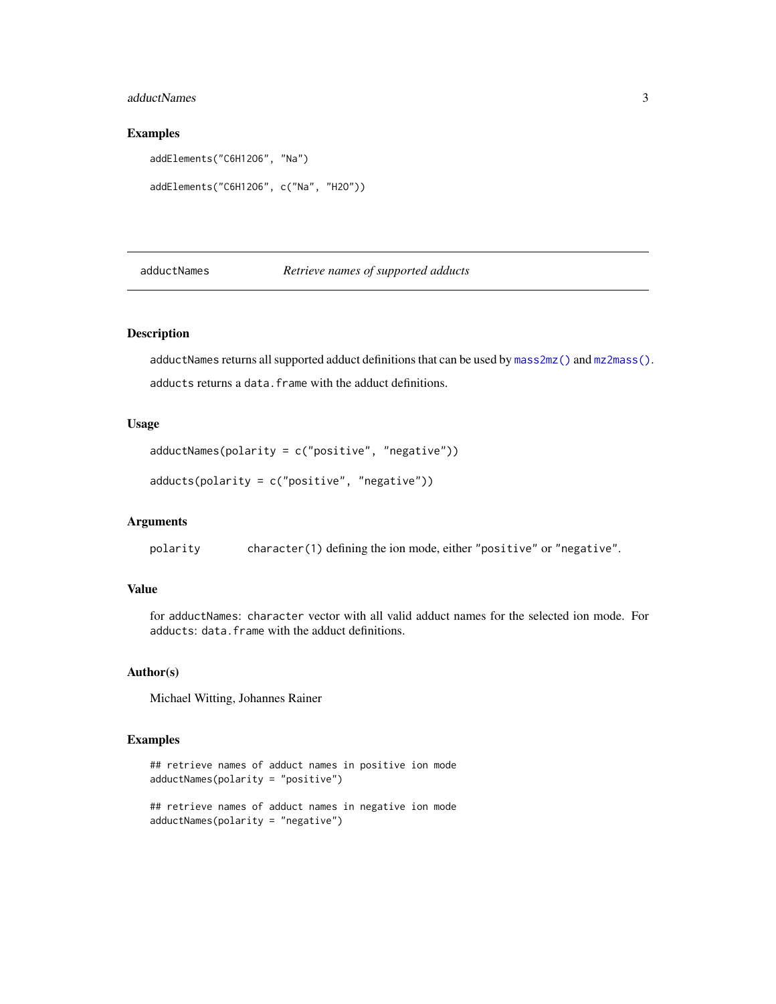#### <span id="page-2-0"></span>adductNames 3

# Examples

```
addElements("C6H12O6", "Na")
addElements("C6H12O6", c("Na", "H2O"))
```
<span id="page-2-2"></span>adductNames *Retrieve names of supported adducts*

# <span id="page-2-1"></span>Description

adductNames returns all supported adduct definitions that can be used by [mass2mz\(\)](#page-14-1) and [mz2mass\(\)](#page-15-1). adducts returns a data. frame with the adduct definitions.

## Usage

```
adductNames(polarity = c("positive", "negative"))
```

```
adducts(polarity = c("positive", "negative"))
```
# Arguments

polarity character(1) defining the ion mode, either "positive" or "negative".

#### Value

for adductNames: character vector with all valid adduct names for the selected ion mode. For adducts: data.frame with the adduct definitions.

#### Author(s)

Michael Witting, Johannes Rainer

# Examples

```
## retrieve names of adduct names in positive ion mode
adductNames(polarity = "positive")
## retrieve names of adduct names in negative ion mode
```
adductNames(polarity = "negative")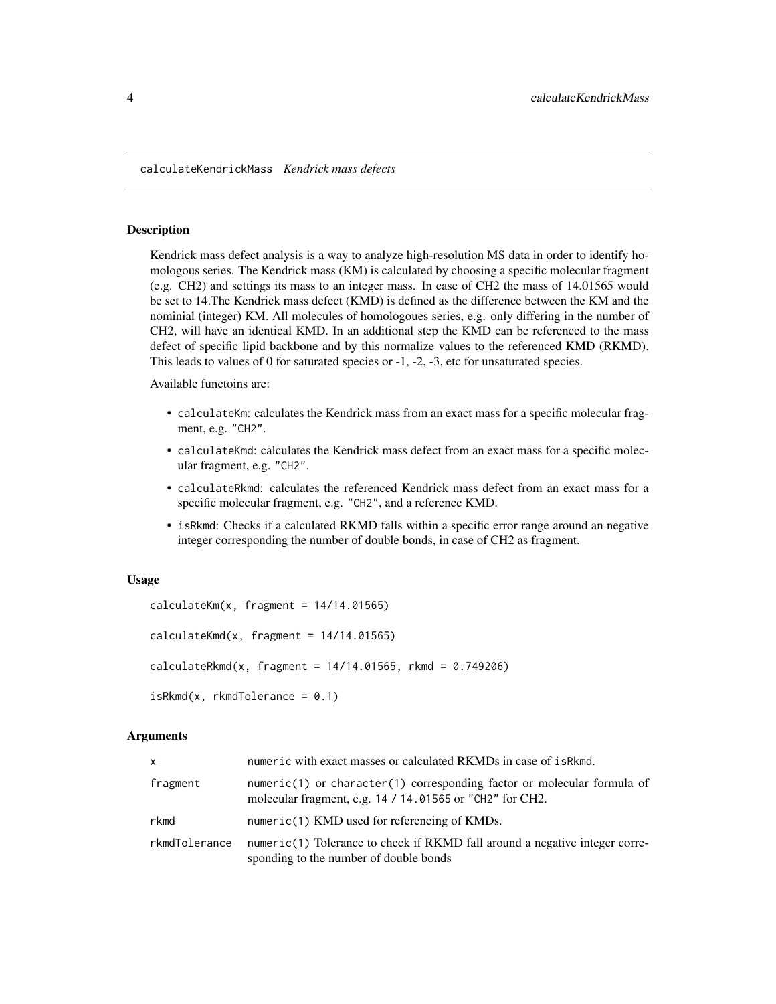<span id="page-3-0"></span>calculateKendrickMass *Kendrick mass defects*

# **Description**

Kendrick mass defect analysis is a way to analyze high-resolution MS data in order to identify homologous series. The Kendrick mass (KM) is calculated by choosing a specific molecular fragment (e.g. CH2) and settings its mass to an integer mass. In case of CH2 the mass of 14.01565 would be set to 14.The Kendrick mass defect (KMD) is defined as the difference between the KM and the nominial (integer) KM. All molecules of homologoues series, e.g. only differing in the number of CH2, will have an identical KMD. In an additional step the KMD can be referenced to the mass defect of specific lipid backbone and by this normalize values to the referenced KMD (RKMD). This leads to values of 0 for saturated species or -1, -2, -3, etc for unsaturated species.

Available functoins are:

- calculateKm: calculates the Kendrick mass from an exact mass for a specific molecular fragment, e.g. "CH2".
- calculateKmd: calculates the Kendrick mass defect from an exact mass for a specific molecular fragment, e.g. "CH2".
- calculateRkmd: calculates the referenced Kendrick mass defect from an exact mass for a specific molecular fragment, e.g. "CH2", and a reference KMD.
- isRkmd: Checks if a calculated RKMD falls within a specific error range around an negative integer corresponding the number of double bonds, in case of CH2 as fragment.

### Usage

```
calculatedKm(x, fragment = 14/14.01565)calculatedKmd(x, fragment = 14/14.01565)calculatedkmd(x, fragment = 14/14.01565, rkmd = 0.749206)iskmd(x, rkmdTolerance = 0.1)
```
# Arguments

| $\mathsf{x}$  | numeric with exact masses or calculated RKMDs in case of is Rkmd.                                                                   |
|---------------|-------------------------------------------------------------------------------------------------------------------------------------|
| fragment      | numeric(1) or character(1) corresponding factor or molecular formula of<br>molecular fragment, e.g. 14 / 14.01565 or "CH2" for CH2. |
| rkmd          | numeric(1) KMD used for referencing of KMDs.                                                                                        |
| rkmdTolerance | numeric(1) Tolerance to check if RKMD fall around a negative integer corre-<br>sponding to the number of double bonds               |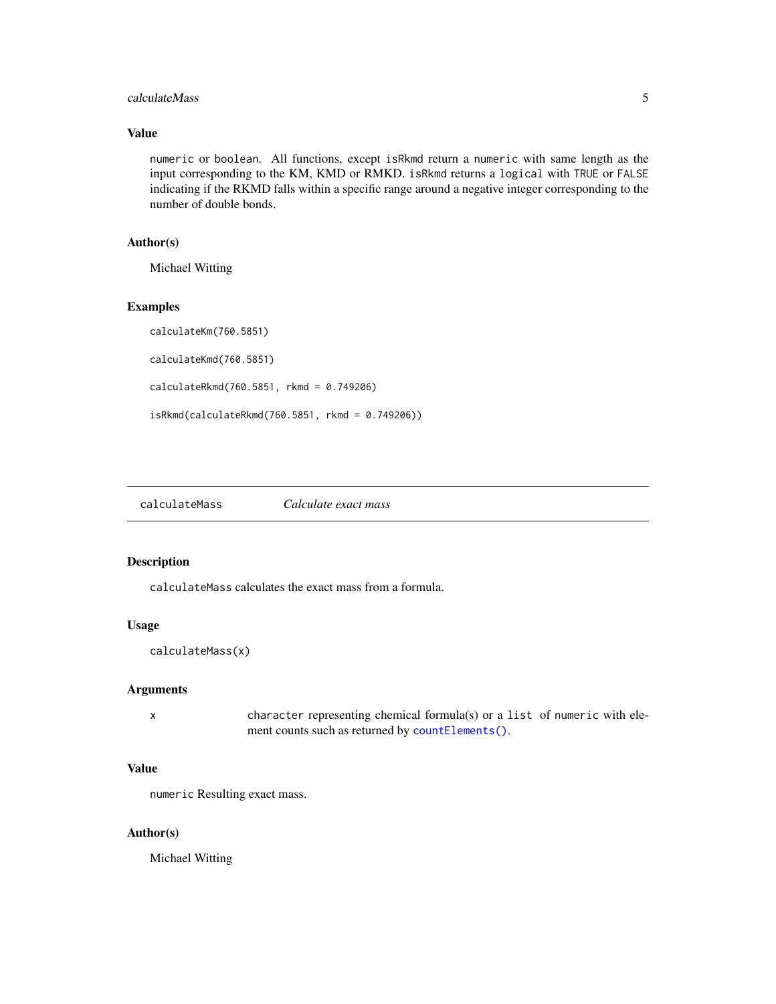# <span id="page-4-0"></span>calculateMass 5

# Value

numeric or boolean. All functions, except isRkmd return a numeric with same length as the input corresponding to the KM, KMD or RMKD. isRkmd returns a logical with TRUE or FALSE indicating if the RKMD falls within a specific range around a negative integer corresponding to the number of double bonds.

# Author(s)

Michael Witting

#### Examples

```
calculateKm(760.5851)
calculateKmd(760.5851)
calculateRkmd(760.5851, rkmd = 0.749206)
isRkmd(calculateRkmd(760.5851, rkmd = 0.749206))
```
# Description

calculateMass calculates the exact mass from a formula.

#### Usage

calculateMass(x)

# Arguments

x character representing chemical formula(s) or a list of numeric with element counts such as returned by [countElements\(\)](#page-8-1).

# Value

numeric Resulting exact mass.

#### Author(s)

Michael Witting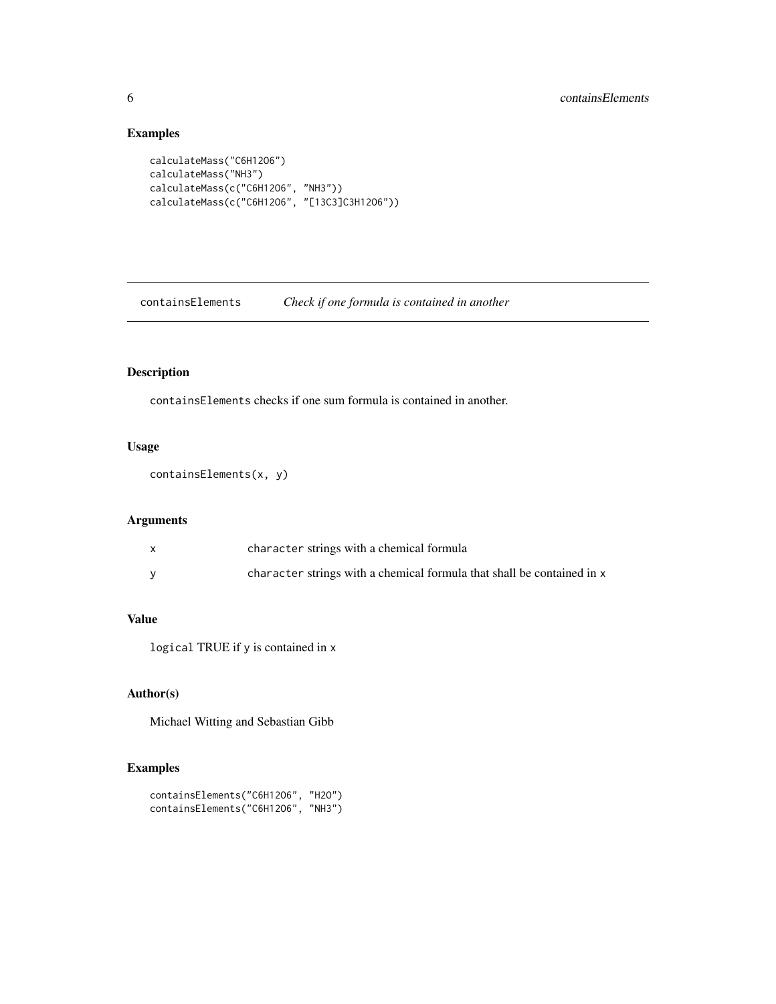# Examples

```
calculateMass("C6H12O6")
calculateMass("NH3")
calculateMass(c("C6H12O6", "NH3"))
calculateMass(c("C6H12O6", "[13C3]C3H12O6"))
```
containsElements *Check if one formula is contained in another*

# Description

containsElements checks if one sum formula is contained in another.

# Usage

```
containsElements(x, y)
```
# Arguments

| character strings with a chemical formula                              |
|------------------------------------------------------------------------|
| character strings with a chemical formula that shall be contained in x |

# Value

logical TRUE if y is contained in x

# Author(s)

Michael Witting and Sebastian Gibb

```
containsElements("C6H12O6", "H2O")
containsElements("C6H12O6", "NH3")
```
<span id="page-5-0"></span>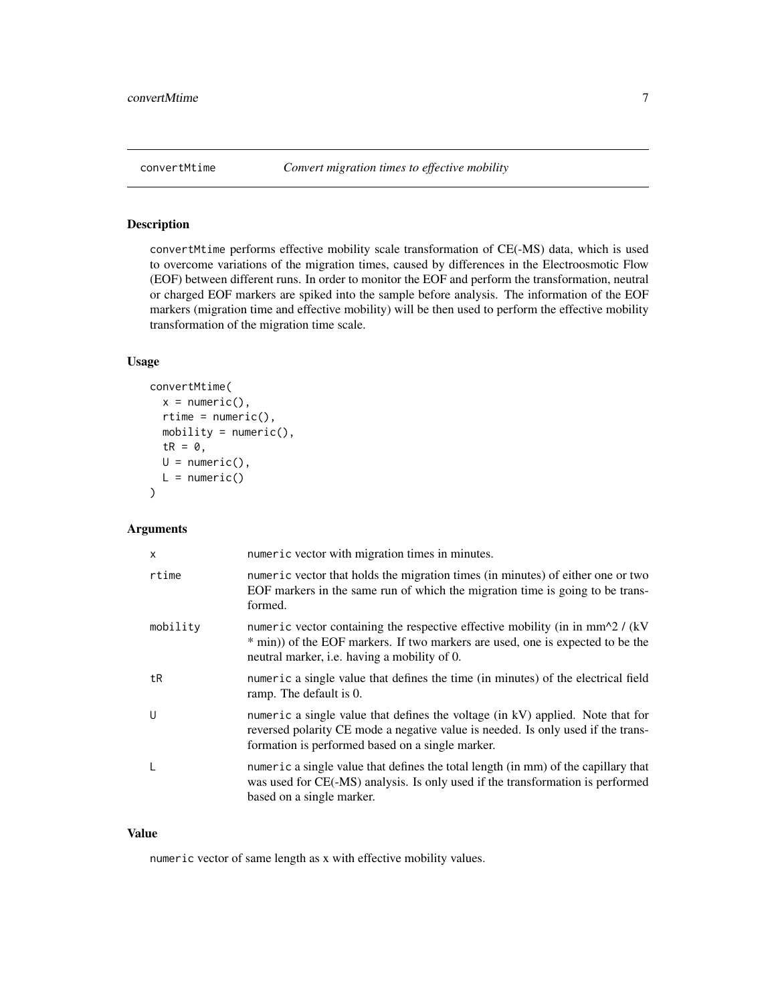<span id="page-6-0"></span>

# Description

convertMtime performs effective mobility scale transformation of CE(-MS) data, which is used to overcome variations of the migration times, caused by differences in the Electroosmotic Flow (EOF) between different runs. In order to monitor the EOF and perform the transformation, neutral or charged EOF markers are spiked into the sample before analysis. The information of the EOF markers (migration time and effective mobility) will be then used to perform the effective mobility transformation of the migration time scale.

# Usage

```
convertMtime(
  x = numeric(),
  rtime = numeric(),mobility = numeric(),
  tR = 0,
 U = numeric(),
 L = numeric()\lambda
```
# Arguments

| X        | numeric vector with migration times in minutes.                                                                                                                                                                          |
|----------|--------------------------------------------------------------------------------------------------------------------------------------------------------------------------------------------------------------------------|
| rtime    | numeric vector that holds the migration times (in minutes) of either one or two<br>EOF markers in the same run of which the migration time is going to be trans-<br>formed.                                              |
| mobility | numeric vector containing the respective effective mobility (in in $mm^2/$ (kV)<br>* min)) of the EOF markers. If two markers are used, one is expected to be the<br>neutral marker, <i>i.e.</i> having a mobility of 0. |
| tR       | numeric a single value that defines the time (in minutes) of the electrical field<br>ramp. The default is 0.                                                                                                             |
| U        | numeric a single value that defines the voltage (in kV) applied. Note that for<br>reversed polarity CE mode a negative value is needed. Is only used if the trans-<br>formation is performed based on a single marker.   |
|          | numeric a single value that defines the total length (in mm) of the capillary that<br>was used for CE(-MS) analysis. Is only used if the transformation is performed<br>based on a single marker.                        |

#### Value

numeric vector of same length as x with effective mobility values.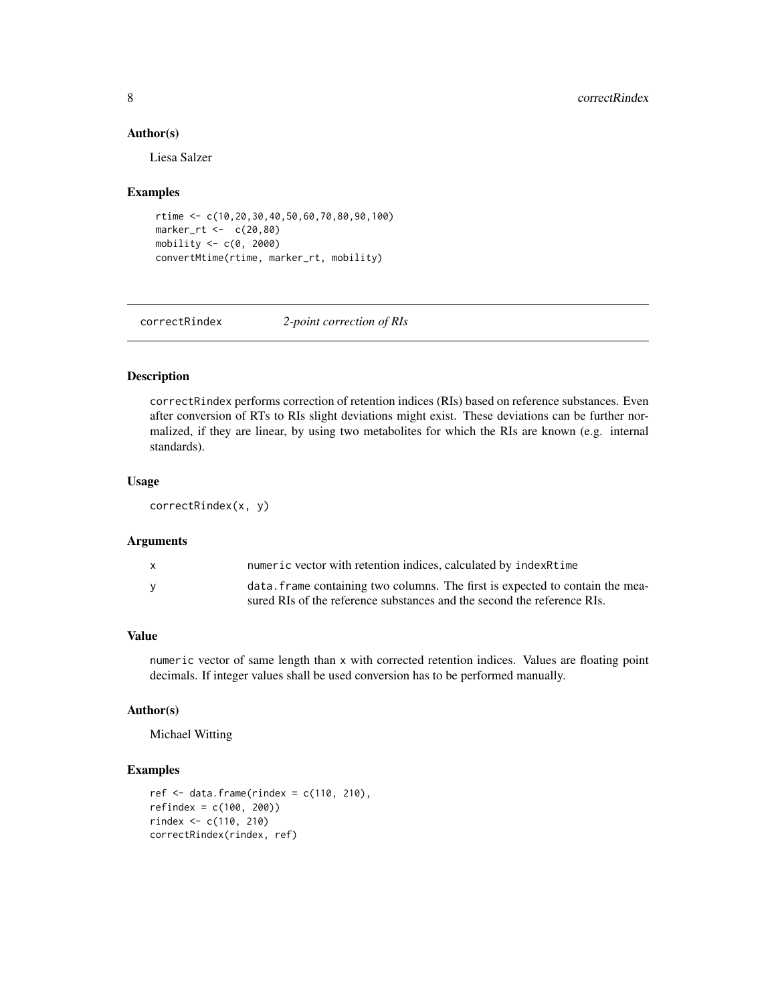# Author(s)

Liesa Salzer

## Examples

```
rtime <- c(10,20,30,40,50,60,70,80,90,100)
marker_rt <- c(20,80)
mobility <- c(0, 2000)
convertMtime(rtime, marker_rt, mobility)
```
correctRindex *2-point correction of RIs*

# Description

correctRindex performs correction of retention indices (RIs) based on reference substances. Even after conversion of RTs to RIs slight deviations might exist. These deviations can be further normalized, if they are linear, by using two metabolites for which the RIs are known (e.g. internal standards).

#### Usage

correctRindex(x, y)

#### Arguments

| X        | numeric vector with retention indices, calculated by indexRtime               |
|----------|-------------------------------------------------------------------------------|
| <b>V</b> | data, frame containing two columns. The first is expected to contain the mea- |
|          | sured RIs of the reference substances and the second the reference RIs.       |

#### Value

numeric vector of same length than x with corrected retention indices. Values are floating point decimals. If integer values shall be used conversion has to be performed manually.

# Author(s)

Michael Witting

```
ref \le data.frame(rindex = c(110, 210),
refindex = c(100, 200))
rindex <- c(110, 210)
correctRindex(rindex, ref)
```
<span id="page-7-0"></span>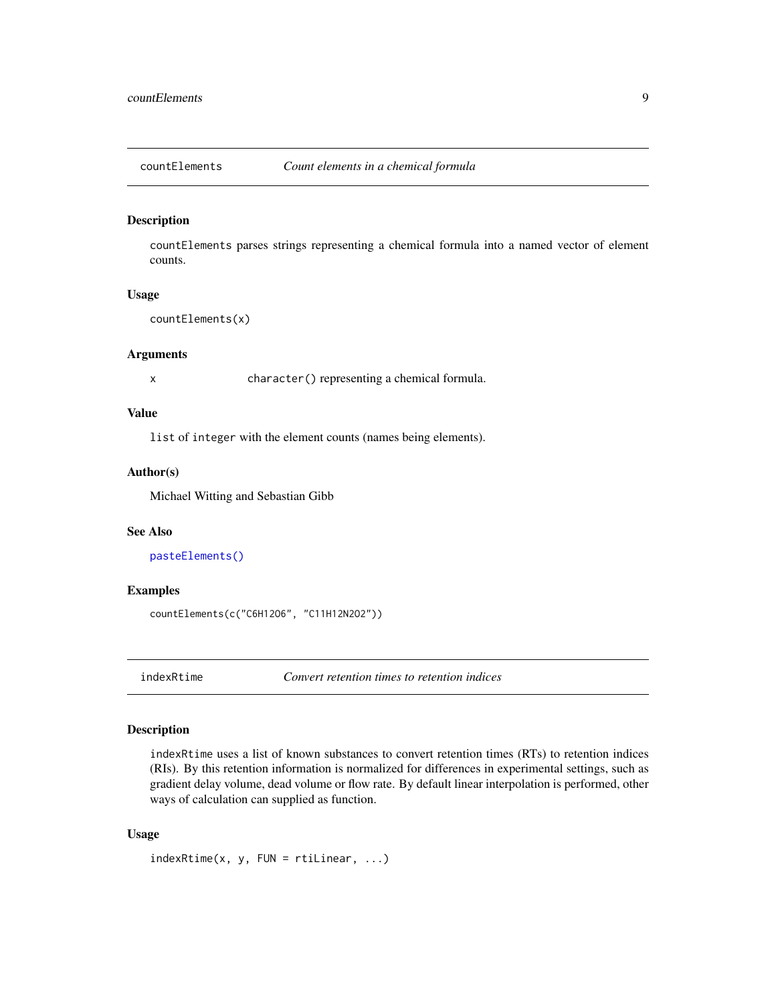<span id="page-8-1"></span><span id="page-8-0"></span>

# Description

countElements parses strings representing a chemical formula into a named vector of element counts.

# Usage

```
countElements(x)
```
# Arguments

x character() representing a chemical formula.

# Value

list of integer with the element counts (names being elements).

# Author(s)

Michael Witting and Sebastian Gibb

# See Also

[pasteElements\(\)](#page-16-1)

#### Examples

```
countElements(c("C6H12O6", "C11H12N2O2"))
```
indexRtime *Convert retention times to retention indices*

# Description

indexRtime uses a list of known substances to convert retention times (RTs) to retention indices (RIs). By this retention information is normalized for differences in experimental settings, such as gradient delay volume, dead volume or flow rate. By default linear interpolation is performed, other ways of calculation can supplied as function.

# Usage

```
indexRtime(x, y, FUN = rtillinear, ...)
```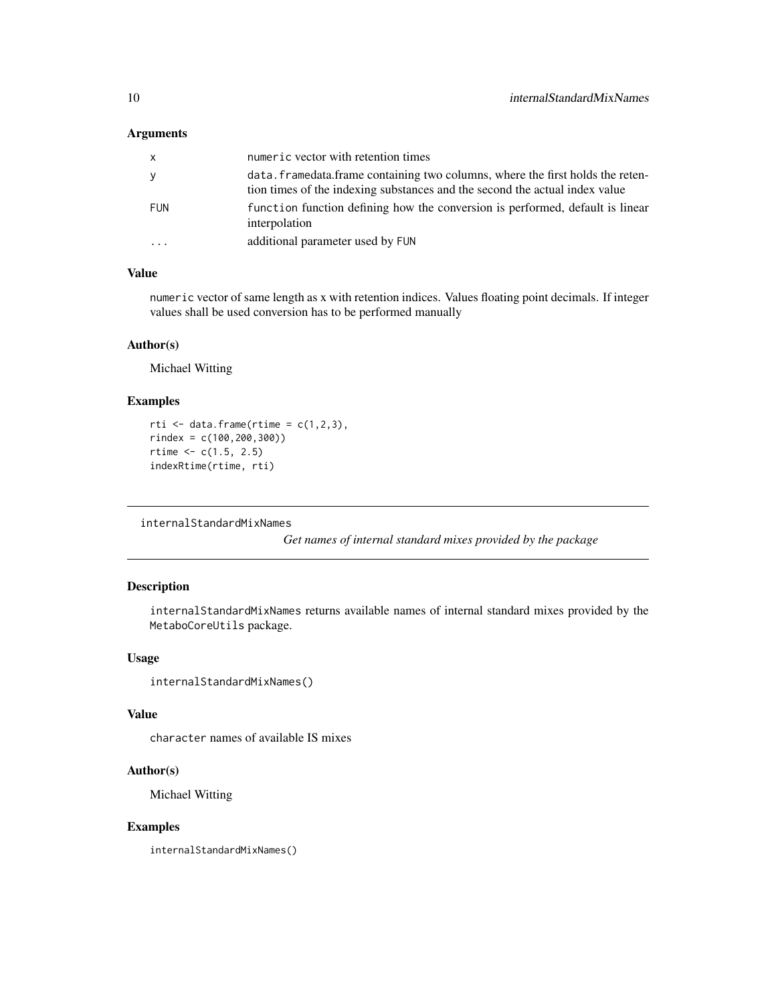# <span id="page-9-0"></span>Arguments

| X          | numeric vector with retention times                                                                                                                            |
|------------|----------------------------------------------------------------------------------------------------------------------------------------------------------------|
| y          | data. framedata. frame containing two columns, where the first holds the reten-<br>tion times of the indexing substances and the second the actual index value |
| <b>FUN</b> | function function defining how the conversion is performed, default is linear<br>interpolation                                                                 |
| $\cdots$   | additional parameter used by FUN                                                                                                                               |

# Value

numeric vector of same length as x with retention indices. Values floating point decimals. If integer values shall be used conversion has to be performed manually

#### Author(s)

Michael Witting

# Examples

```
rti \leq data.frame(rtime = c(1,2,3),
rindex = c(100,200,300))
rtime < c(1.5, 2.5)indexRtime(rtime, rti)
```
<span id="page-9-1"></span>internalStandardMixNames

*Get names of internal standard mixes provided by the package*

# Description

internalStandardMixNames returns available names of internal standard mixes provided by the MetaboCoreUtils package.

### Usage

```
internalStandardMixNames()
```
# Value

character names of available IS mixes

# Author(s)

Michael Witting

# Examples

internalStandardMixNames()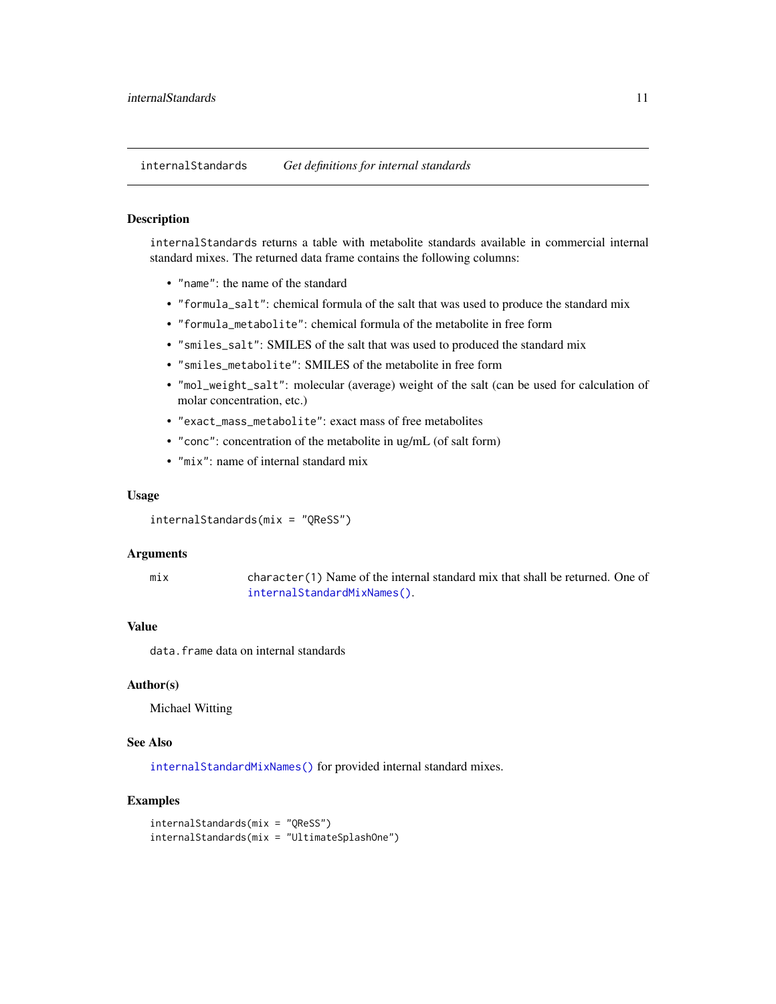<span id="page-10-0"></span>internalStandards *Get definitions for internal standards*

#### Description

internalStandards returns a table with metabolite standards available in commercial internal standard mixes. The returned data frame contains the following columns:

- "name": the name of the standard
- "formula\_salt": chemical formula of the salt that was used to produce the standard mix
- "formula\_metabolite": chemical formula of the metabolite in free form
- "smiles\_salt": SMILES of the salt that was used to produced the standard mix
- "smiles\_metabolite": SMILES of the metabolite in free form
- "mol\_weight\_salt": molecular (average) weight of the salt (can be used for calculation of molar concentration, etc.)
- "exact\_mass\_metabolite": exact mass of free metabolites
- "conc": concentration of the metabolite in ug/mL (of salt form)
- "mix": name of internal standard mix

#### Usage

```
internalStandards(mix = "QReSS")
```
# Arguments

```
mix character(1) Name of the internal standard mix that shall be returned. One of
                internalStandardMixNames().
```
# Value

data.frame data on internal standards

#### Author(s)

Michael Witting

# See Also

[internalStandardMixNames\(\)](#page-9-1) for provided internal standard mixes.

```
internalStandards(mix = "QReSS")
internalStandards(mix = "UltimateSplashOne")
```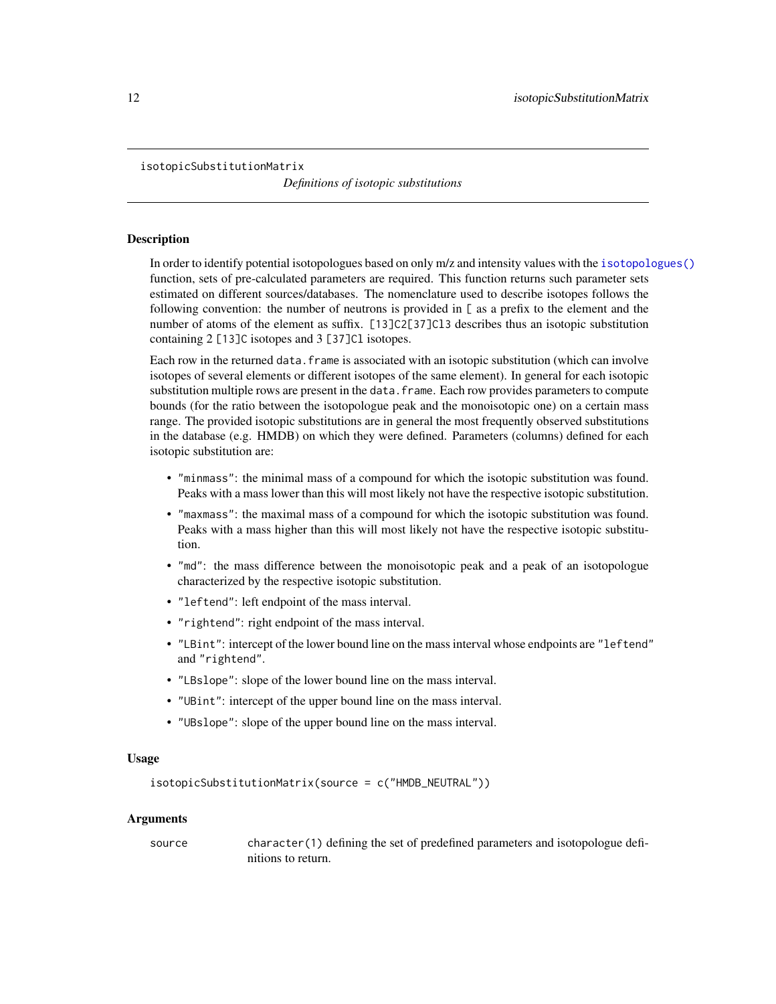<span id="page-11-1"></span><span id="page-11-0"></span>isotopicSubstitutionMatrix

*Definitions of isotopic substitutions*

#### Description

In order to identify potential isotopologues based on only m/z and intensity values with the [isotopologues\(\)](#page-12-1) function, sets of pre-calculated parameters are required. This function returns such parameter sets estimated on different sources/databases. The nomenclature used to describe isotopes follows the following convention: the number of neutrons is provided in [ as a prefix to the element and the number of atoms of the element as suffix. [13]C2[37]C13 describes thus an isotopic substitution containing 2 [13]C isotopes and 3 [37]Cl isotopes.

Each row in the returned data.frame is associated with an isotopic substitution (which can involve isotopes of several elements or different isotopes of the same element). In general for each isotopic substitution multiple rows are present in the data. frame. Each row provides parameters to compute bounds (for the ratio between the isotopologue peak and the monoisotopic one) on a certain mass range. The provided isotopic substitutions are in general the most frequently observed substitutions in the database (e.g. HMDB) on which they were defined. Parameters (columns) defined for each isotopic substitution are:

- "minmass": the minimal mass of a compound for which the isotopic substitution was found. Peaks with a mass lower than this will most likely not have the respective isotopic substitution.
- "maxmass": the maximal mass of a compound for which the isotopic substitution was found. Peaks with a mass higher than this will most likely not have the respective isotopic substitution.
- "md": the mass difference between the monoisotopic peak and a peak of an isotopologue characterized by the respective isotopic substitution.
- "leftend": left endpoint of the mass interval.
- "rightend": right endpoint of the mass interval.
- "LBint": intercept of the lower bound line on the mass interval whose endpoints are "leftend" and "rightend".
- "LBslope": slope of the lower bound line on the mass interval.
- "UBint": intercept of the upper bound line on the mass interval.
- "UBslope": slope of the upper bound line on the mass interval.

# Usage

```
isotopicSubstitutionMatrix(source = c("HMDB_NEUTRAL"))
```
#### Arguments

source character(1) defining the set of predefined parameters and isotopologue definitions to return.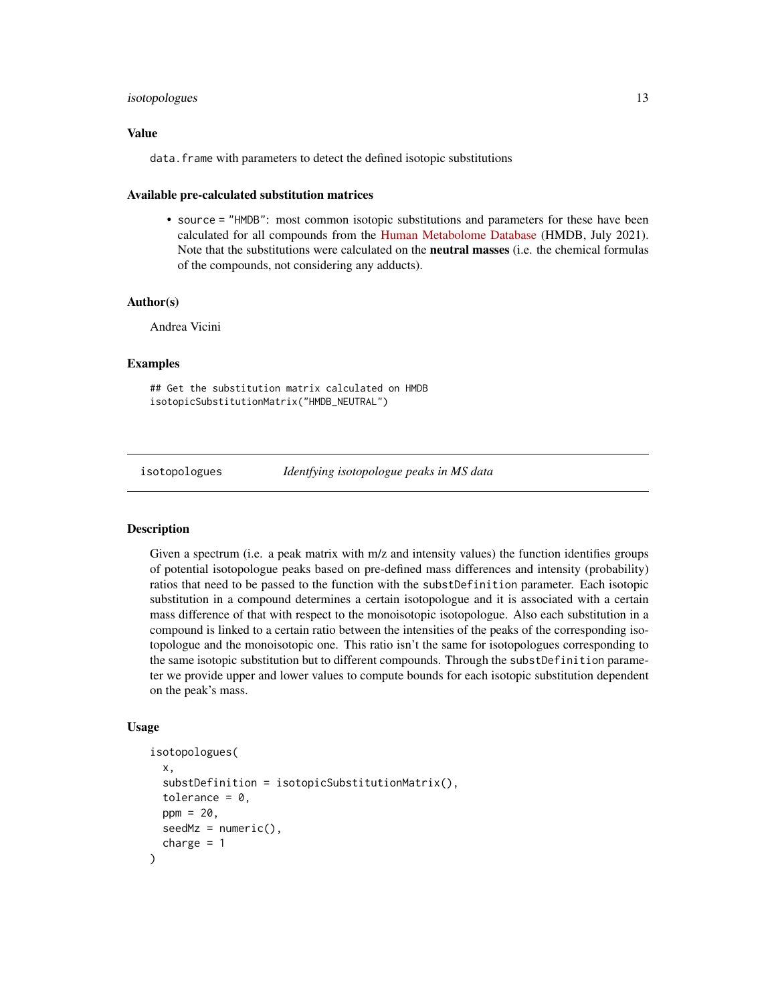# <span id="page-12-0"></span>isotopologues 13

# Value

data.frame with parameters to detect the defined isotopic substitutions

# Available pre-calculated substitution matrices

• source = "HMDB": most common isotopic substitutions and parameters for these have been calculated for all compounds from the [Human Metabolome Database](https://hmdb.ca) (HMDB, July 2021). Note that the substitutions were calculated on the neutral masses (i.e. the chemical formulas of the compounds, not considering any adducts).

# Author(s)

Andrea Vicini

# Examples

```
## Get the substitution matrix calculated on HMDB
isotopicSubstitutionMatrix("HMDB_NEUTRAL")
```
<span id="page-12-1"></span>isotopologues *Identfying isotopologue peaks in MS data*

# **Description**

Given a spectrum (i.e. a peak matrix with m/z and intensity values) the function identifies groups of potential isotopologue peaks based on pre-defined mass differences and intensity (probability) ratios that need to be passed to the function with the substDefinition parameter. Each isotopic substitution in a compound determines a certain isotopologue and it is associated with a certain mass difference of that with respect to the monoisotopic isotopologue. Also each substitution in a compound is linked to a certain ratio between the intensities of the peaks of the corresponding isotopologue and the monoisotopic one. This ratio isn't the same for isotopologues corresponding to the same isotopic substitution but to different compounds. Through the substDefinition parameter we provide upper and lower values to compute bounds for each isotopic substitution dependent on the peak's mass.

#### Usage

```
isotopologues(
  x,
  substDefinition = isotopicSubstitutionMatrix(),
  tolerance = 0,
 ppm = 20,
  seedMz = numeric(),charge = 1)
```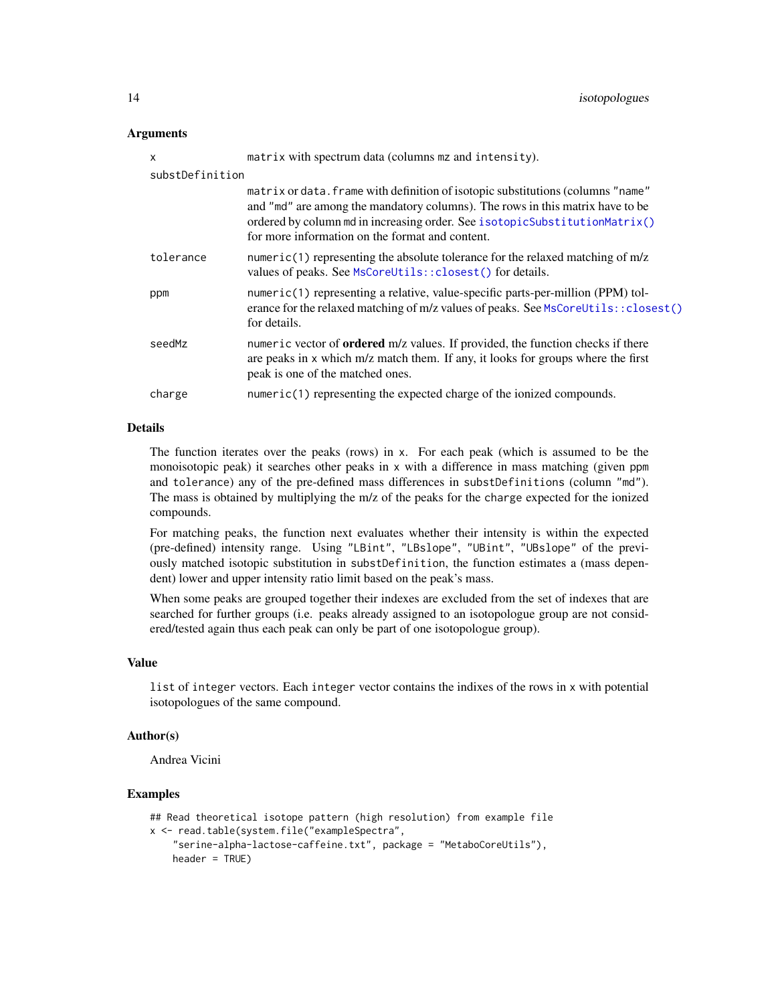### <span id="page-13-0"></span>**Arguments**

| X               | matrix with spectrum data (columns mz and intensity).                                                                                                                                                                                                                                             |
|-----------------|---------------------------------------------------------------------------------------------------------------------------------------------------------------------------------------------------------------------------------------------------------------------------------------------------|
| substDefinition |                                                                                                                                                                                                                                                                                                   |
|                 | matrix or data. frame with definition of isotopic substitutions (columns "name"<br>and "md" are among the mandatory columns). The rows in this matrix have to be<br>ordered by column md in increasing order. See isotopicSubstitutionMatrix()<br>for more information on the format and content. |
| tolerance       | numeric(1) representing the absolute tolerance for the relaxed matching of $m/z$<br>values of peaks. See MsCoreUtils:: closest() for details.                                                                                                                                                     |
| ppm             | $numeric(1)$ representing a relative, value-specific parts-per-million (PPM) tol-<br>erance for the relaxed matching of m/z values of peaks. See MsCoreUtils:: closest()<br>for details.                                                                                                          |
| seedMz          | numeric vector of <b>ordered</b> m/z values. If provided, the function checks if there<br>are peaks in x which m/z match them. If any, it looks for groups where the first<br>peak is one of the matched ones.                                                                                    |
| charge          | numeric(1) representing the expected charge of the ionized compounds.                                                                                                                                                                                                                             |

# Details

The function iterates over the peaks (rows) in x. For each peak (which is assumed to be the monoisotopic peak) it searches other peaks in x with a difference in mass matching (given ppm and tolerance) any of the pre-defined mass differences in substDefinitions (column "md"). The mass is obtained by multiplying the m/z of the peaks for the charge expected for the ionized compounds.

For matching peaks, the function next evaluates whether their intensity is within the expected (pre-defined) intensity range. Using "LBint", "LBslope", "UBint", "UBslope" of the previously matched isotopic substitution in substDefinition, the function estimates a (mass dependent) lower and upper intensity ratio limit based on the peak's mass.

When some peaks are grouped together their indexes are excluded from the set of indexes that are searched for further groups (i.e. peaks already assigned to an isotopologue group are not considered/tested again thus each peak can only be part of one isotopologue group).

# Value

list of integer vectors. Each integer vector contains the indixes of the rows in x with potential isotopologues of the same compound.

# Author(s)

Andrea Vicini

```
## Read theoretical isotope pattern (high resolution) from example file
x <- read.table(system.file("exampleSpectra",
    "serine-alpha-lactose-caffeine.txt", package = "MetaboCoreUtils"),
   header = TRUE)
```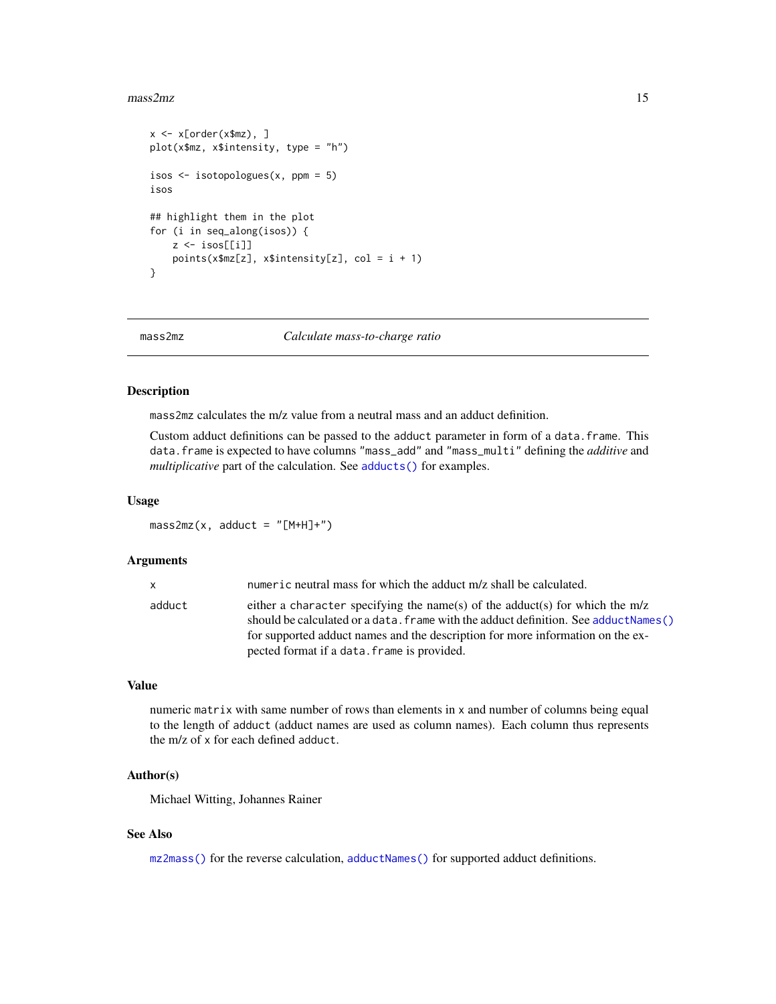#### <span id="page-14-0"></span> $mass2mz$  15

```
x \le -x[order(x$mz), ]plot(x$mz, x$intensity, type = "h")
isos <- isotopologues(x, ppm = 5)
isos
## highlight them in the plot
for (i in seq_along(isos)) {
    z \leftarrow iso[[i]]points(x$mz[z], x$intensity[z], col = i + 1)
}
```
<span id="page-14-1"></span>mass2mz *Calculate mass-to-charge ratio*

# Description

mass2mz calculates the m/z value from a neutral mass and an adduct definition.

Custom adduct definitions can be passed to the adduct parameter in form of a data.frame. This data.frame is expected to have columns "mass\_add" and "mass\_multi" defining the *additive* and *multiplicative* part of the calculation. See [adducts\(\)](#page-2-1) for examples.

#### Usage

 $mass2mz(x, adduct = "[M+H]+")$ 

#### Arguments

| x.     | numeric neutral mass for which the adduct m/z shall be calculated.                                                                                                                                                                                                                                       |
|--------|----------------------------------------------------------------------------------------------------------------------------------------------------------------------------------------------------------------------------------------------------------------------------------------------------------|
| adduct | either a character specifying the name(s) of the adduct(s) for which the $m/z$<br>should be calculated or a data. frame with the adduct definition. See adduct Names ()<br>for supported adduct names and the description for more information on the ex-<br>pected format if a data. frame is provided. |
|        |                                                                                                                                                                                                                                                                                                          |

#### Value

numeric matrix with same number of rows than elements in x and number of columns being equal to the length of adduct (adduct names are used as column names). Each column thus represents the m/z of x for each defined adduct.

# Author(s)

Michael Witting, Johannes Rainer

# See Also

[mz2mass\(\)](#page-15-1) for the reverse calculation, [adductNames\(\)](#page-2-2) for supported adduct definitions.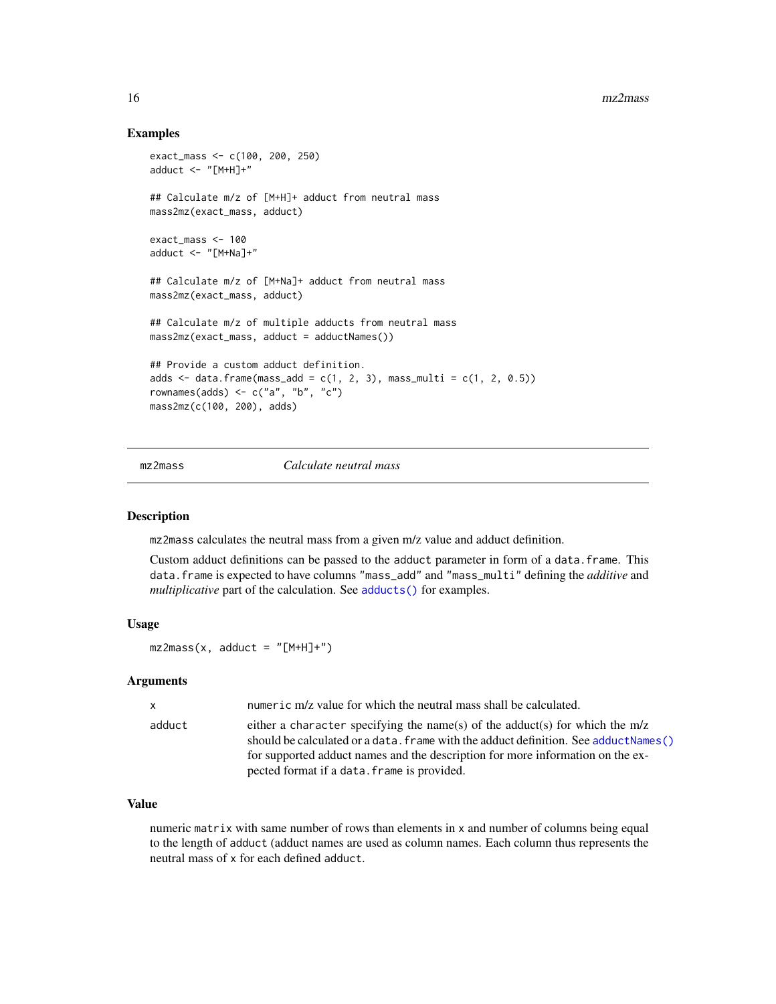# Examples

```
exact_mass <- c(100, 200, 250)
adduct <- "[M+H]+"
## Calculate m/z of [M+H]+ adduct from neutral mass
mass2mz(exact_mass, adduct)
exact_mass <- 100
adduct \leq - "[M+Na]+"
## Calculate m/z of [M+Na]+ adduct from neutral mass
mass2mz(exact_mass, adduct)
## Calculate m/z of multiple adducts from neutral mass
mass2mz(exact_mass, adduct = adductNames())
## Provide a custom adduct definition.
adds \le data.frame(mass_add = c(1, 2, 3), mass_multi = c(1, 2, 0.5))
rownames(adds) \leq c("a", "b", "c")
mass2mz(c(100, 200), adds)
```
<span id="page-15-1"></span>mz2mass *Calculate neutral mass*

# Description

mz2mass calculates the neutral mass from a given m/z value and adduct definition.

Custom adduct definitions can be passed to the adduct parameter in form of a data.frame. This data.frame is expected to have columns "mass\_add" and "mass\_multi" defining the *additive* and *multiplicative* part of the calculation. See [adducts\(\)](#page-2-1) for examples.

#### Usage

```
mz2mass(x, adduct = "[M+H]+")
```
#### Arguments

| $\mathsf{x}$ | numeric m/z value for which the neutral mass shall be calculated.                                                                                                                                                                                                                                          |
|--------------|------------------------------------------------------------------------------------------------------------------------------------------------------------------------------------------------------------------------------------------------------------------------------------------------------------|
| adduct       | either a character specifying the name(s) of the adduct(s) for which the $m/z$<br>should be calculated or a data. $frame$ with the adduct definition. See adduct Names ()<br>for supported adduct names and the description for more information on the ex-<br>pected format if a data. frame is provided. |
|              |                                                                                                                                                                                                                                                                                                            |

# Value

numeric matrix with same number of rows than elements in x and number of columns being equal to the length of adduct (adduct names are used as column names. Each column thus represents the neutral mass of x for each defined adduct.

<span id="page-15-0"></span>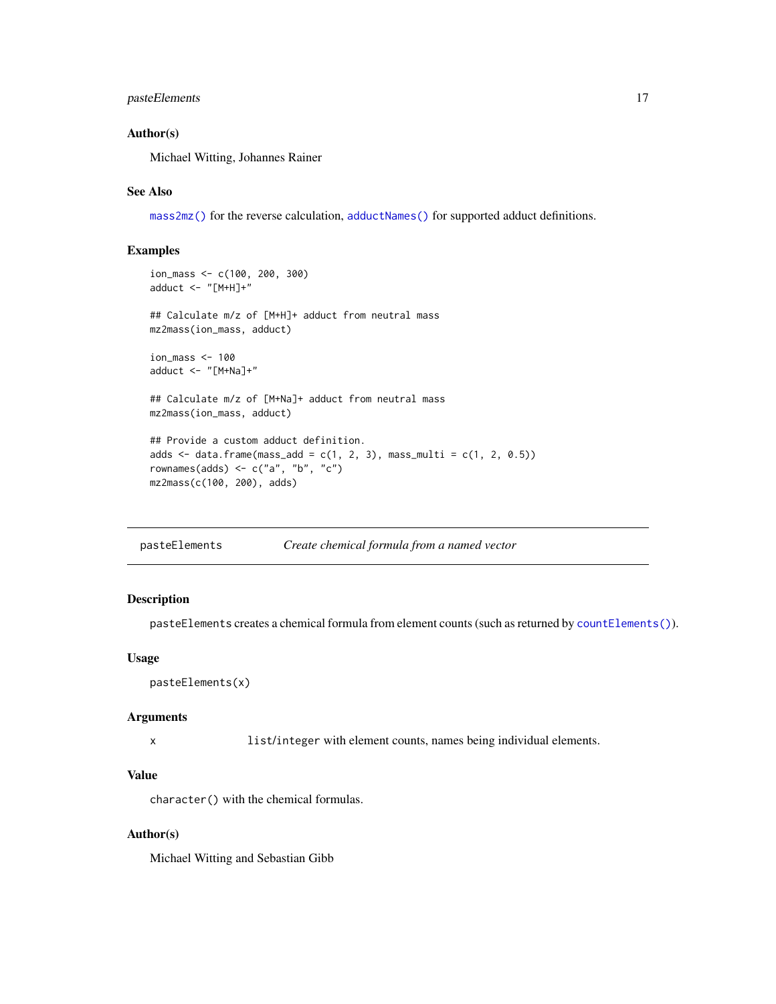# <span id="page-16-0"></span>pasteElements 17

# Author(s)

Michael Witting, Johannes Rainer

# See Also

[mass2mz\(\)](#page-14-1) for the reverse calculation, [adductNames\(\)](#page-2-2) for supported adduct definitions.

# Examples

```
ion_mass <- c(100, 200, 300)
adduct <- "[M+H]+"
## Calculate m/z of [M+H]+ adduct from neutral mass
mz2mass(ion_mass, adduct)
ion_mass <- 100
adduct <- "[M+Na]+"
## Calculate m/z of [M+Na]+ adduct from neutral mass
mz2mass(ion_mass, adduct)
## Provide a custom adduct definition.
adds \le data.frame(mass_add = c(1, 2, 3), mass_multi = c(1, 2, 0.5))
rownames(adds) <- c("a", "b", "c")
mz2mass(c(100, 200), adds)
```
<span id="page-16-1"></span>

| Create chemical formula from a named vector<br>pasteElements |
|--------------------------------------------------------------|
|--------------------------------------------------------------|

# Description

pasteElements creates a chemical formula from element counts (such as returned by [countElements\(\)](#page-8-1)).

#### Usage

```
pasteElements(x)
```
# Arguments

x list/integer with element counts, names being individual elements.

#### Value

character() with the chemical formulas.

# Author(s)

Michael Witting and Sebastian Gibb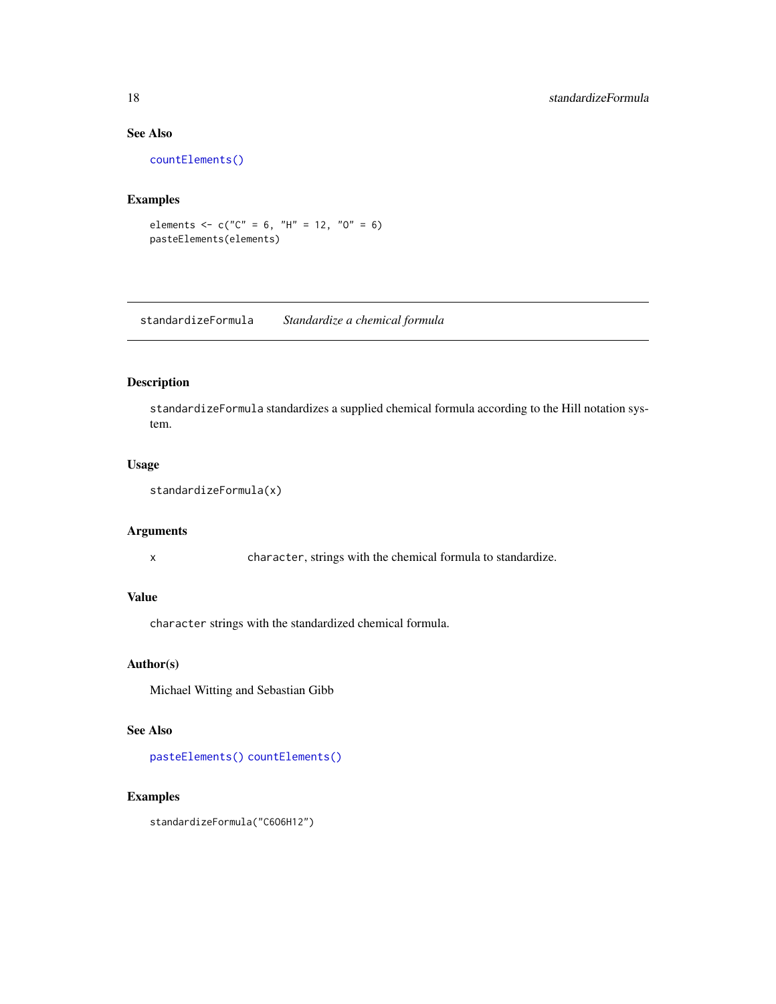# See Also

[countElements\(\)](#page-8-1)

# Examples

```
elements \leq -c("C" = 6, "H" = 12, "0" = 6)pasteElements(elements)
```
standardizeFormula *Standardize a chemical formula*

# Description

standardizeFormula standardizes a supplied chemical formula according to the Hill notation system.

# Usage

```
standardizeFormula(x)
```
# Arguments

x character, strings with the chemical formula to standardize.

# Value

character strings with the standardized chemical formula.

# Author(s)

Michael Witting and Sebastian Gibb

# See Also

[pasteElements\(\)](#page-16-1) [countElements\(\)](#page-8-1)

# Examples

standardizeFormula("C6O6H12")

<span id="page-17-0"></span>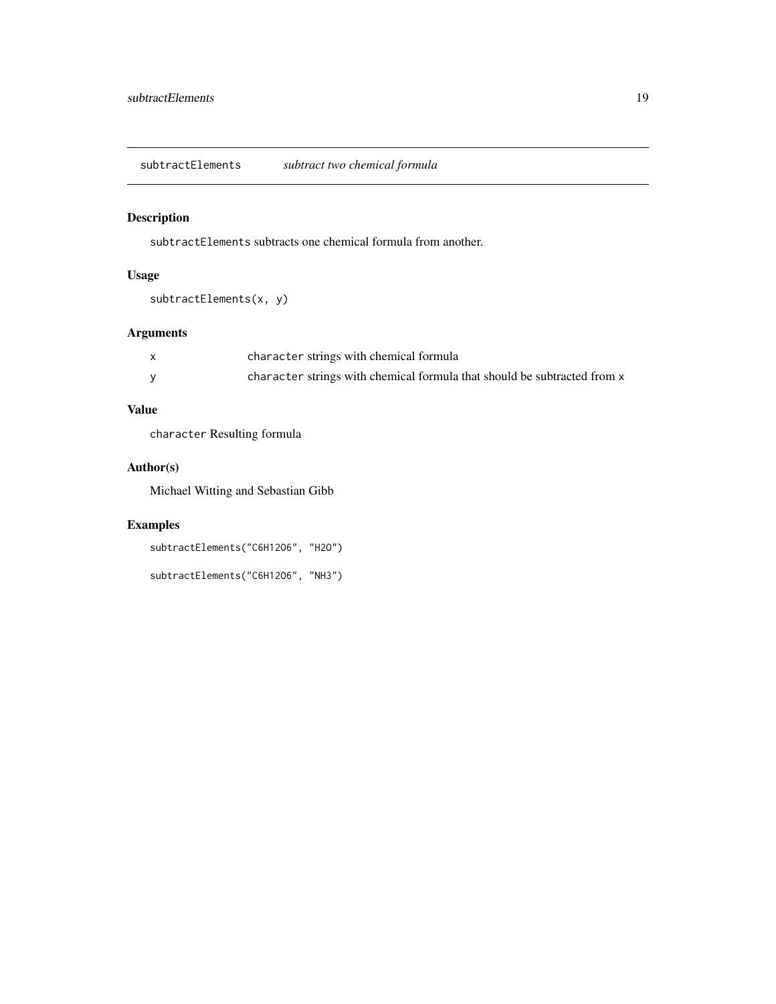<span id="page-18-0"></span>subtractElements *subtract two chemical formula*

# Description

subtractElements subtracts one chemical formula from another.

# Usage

```
subtractElements(x, y)
```
# Arguments

| character strings with chemical formula                                  |
|--------------------------------------------------------------------------|
| character strings with chemical formula that should be subtracted from x |

# Value

character Resulting formula

# Author(s)

Michael Witting and Sebastian Gibb

```
subtractElements("C6H12O6", "H2O")
```

```
subtractElements("C6H12O6", "NH3")
```